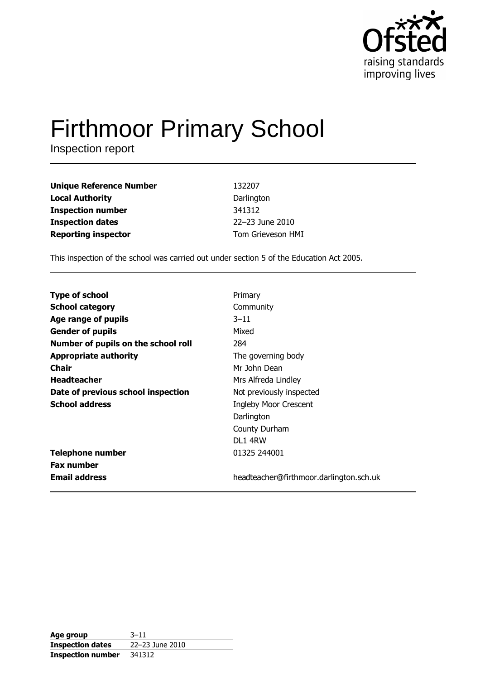

# **Firthmoor Primary School**

Inspection report

| <b>Unique Reference Number</b> | 132207            |
|--------------------------------|-------------------|
| <b>Local Authority</b>         | Darlington        |
| <b>Inspection number</b>       | 341312            |
| <b>Inspection dates</b>        | 22-23 June 2010   |
| <b>Reporting inspector</b>     | Tom Grieveson HMI |

This inspection of the school was carried out under section 5 of the Education Act 2005.

| <b>Type of school</b>               | Primary                                 |
|-------------------------------------|-----------------------------------------|
| <b>School category</b>              | Community                               |
| Age range of pupils                 | $3 - 11$                                |
| <b>Gender of pupils</b>             | Mixed                                   |
| Number of pupils on the school roll | 284                                     |
| <b>Appropriate authority</b>        | The governing body                      |
| <b>Chair</b>                        | Mr John Dean                            |
| <b>Headteacher</b>                  | Mrs Alfreda Lindley                     |
| Date of previous school inspection  | Not previously inspected                |
| <b>School address</b>               | <b>Ingleby Moor Crescent</b>            |
|                                     | Darlington                              |
|                                     | County Durham                           |
|                                     | <b>DL1 4RW</b>                          |
| <b>Telephone number</b>             | 01325 244001                            |
| <b>Fax number</b>                   |                                         |
| <b>Email address</b>                | headteacher@firthmoor.darlington.sch.uk |

| Age group                | $3 - 11$        |
|--------------------------|-----------------|
| <b>Inspection dates</b>  | 22-23 June 2010 |
| <b>Inspection number</b> | 341312          |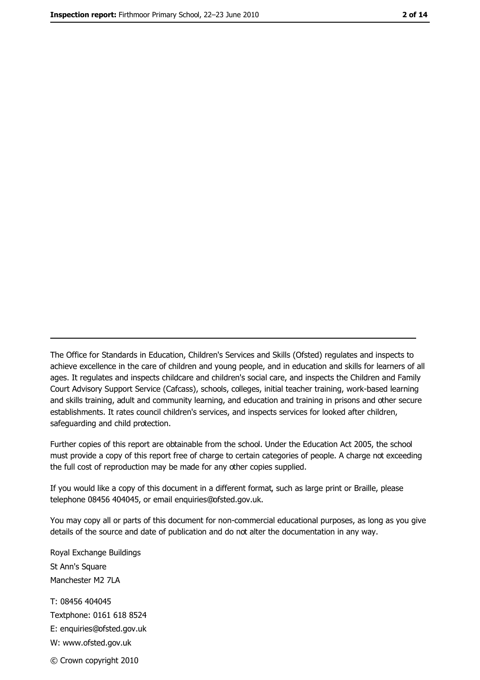The Office for Standards in Education, Children's Services and Skills (Ofsted) regulates and inspects to achieve excellence in the care of children and young people, and in education and skills for learners of all ages. It regulates and inspects childcare and children's social care, and inspects the Children and Family Court Advisory Support Service (Cafcass), schools, colleges, initial teacher training, work-based learning and skills training, adult and community learning, and education and training in prisons and other secure establishments. It rates council children's services, and inspects services for looked after children, safequarding and child protection.

Further copies of this report are obtainable from the school. Under the Education Act 2005, the school must provide a copy of this report free of charge to certain categories of people. A charge not exceeding the full cost of reproduction may be made for any other copies supplied.

If you would like a copy of this document in a different format, such as large print or Braille, please telephone 08456 404045, or email enquiries@ofsted.gov.uk.

You may copy all or parts of this document for non-commercial educational purposes, as long as you give details of the source and date of publication and do not alter the documentation in any way.

Royal Exchange Buildings St Ann's Square Manchester M2 7LA T: 08456 404045 Textphone: 0161 618 8524 E: enquiries@ofsted.gov.uk W: www.ofsted.gov.uk © Crown copyright 2010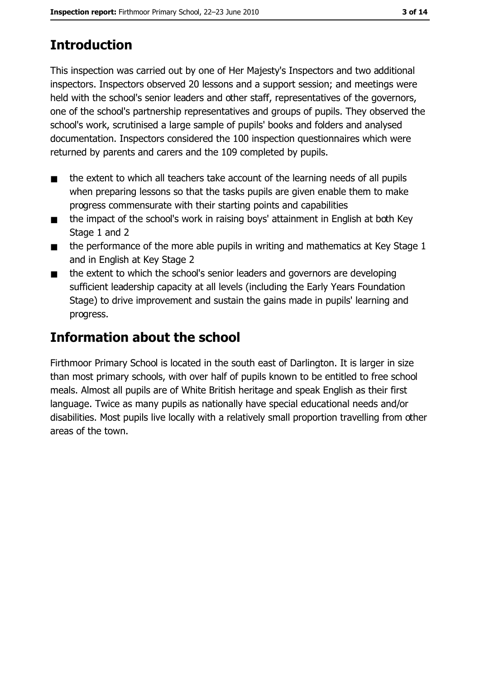# **Introduction**

This inspection was carried out by one of Her Majesty's Inspectors and two additional inspectors. Inspectors observed 20 lessons and a support session; and meetings were held with the school's senior leaders and other staff, representatives of the governors, one of the school's partnership representatives and groups of pupils. They observed the school's work, scrutinised a large sample of pupils' books and folders and analysed documentation. Inspectors considered the 100 inspection questionnaires which were returned by parents and carers and the 109 completed by pupils.

- the extent to which all teachers take account of the learning needs of all pupils  $\blacksquare$ when preparing lessons so that the tasks pupils are given enable them to make progress commensurate with their starting points and capabilities
- the impact of the school's work in raising boys' attainment in English at both Key  $\blacksquare$ Stage 1 and 2
- the performance of the more able pupils in writing and mathematics at Key Stage 1  $\blacksquare$ and in English at Key Stage 2
- the extent to which the school's senior leaders and governors are developing  $\blacksquare$ sufficient leadership capacity at all levels (including the Early Years Foundation Stage) to drive improvement and sustain the gains made in pupils' learning and progress.

# **Information about the school**

Firthmoor Primary School is located in the south east of Darlington. It is larger in size than most primary schools, with over half of pupils known to be entitled to free school meals. Almost all pupils are of White British heritage and speak English as their first language. Twice as many pupils as nationally have special educational needs and/or disabilities. Most pupils live locally with a relatively small proportion travelling from other areas of the town.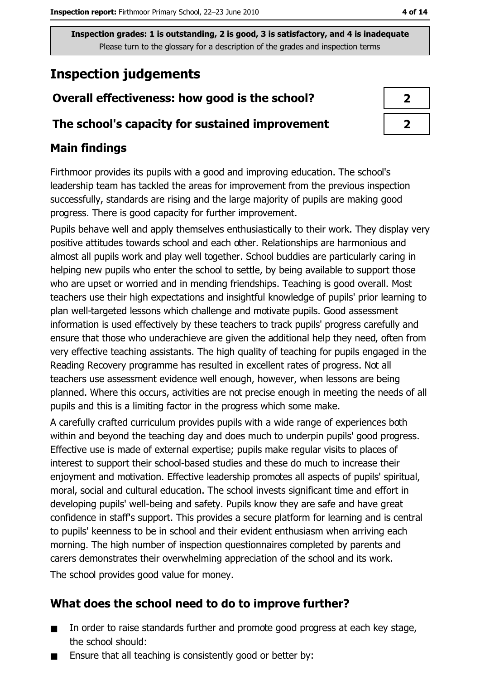## **Inspection judgements**

## Overall effectiveness: how good is the school?

#### The school's capacity for sustained improvement

#### **Main findings**

Firthmoor provides its pupils with a good and improving education. The school's leadership team has tackled the areas for improvement from the previous inspection successfully, standards are rising and the large majority of pupils are making good progress. There is good capacity for further improvement.

Pupils behave well and apply themselves enthusiastically to their work. They display very positive attitudes towards school and each other. Relationships are harmonious and almost all pupils work and play well together. School buddies are particularly caring in helping new pupils who enter the school to settle, by being available to support those who are upset or worried and in mending friendships. Teaching is good overall. Most teachers use their high expectations and insightful knowledge of pupils' prior learning to plan well-targeted lessons which challenge and motivate pupils. Good assessment information is used effectively by these teachers to track pupils' progress carefully and ensure that those who underachieve are given the additional help they need, often from very effective teaching assistants. The high quality of teaching for pupils engaged in the Reading Recovery programme has resulted in excellent rates of progress. Not all teachers use assessment evidence well enough, however, when lessons are being planned. Where this occurs, activities are not precise enough in meeting the needs of all pupils and this is a limiting factor in the progress which some make.

A carefully crafted curriculum provides pupils with a wide range of experiences both within and beyond the teaching day and does much to underpin pupils' good progress. Effective use is made of external expertise; pupils make regular visits to places of interest to support their school-based studies and these do much to increase their enjoyment and motivation. Effective leadership promotes all aspects of pupils' spiritual, moral, social and cultural education. The school invests significant time and effort in developing pupils' well-being and safety. Pupils know they are safe and have great confidence in staff's support. This provides a secure platform for learning and is central to pupils' keenness to be in school and their evident enthusiasm when arriving each morning. The high number of inspection questionnaires completed by parents and carers demonstrates their overwhelming appreciation of the school and its work. The school provides good value for money.

## What does the school need to do to improve further?

- In order to raise standards further and promote good progress at each key stage,  $\blacksquare$ the school should:
- Ensure that all teaching is consistently good or better by: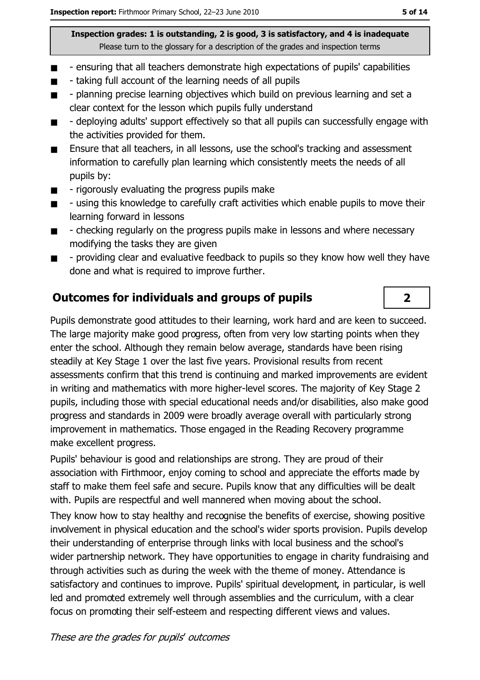- ensuring that all teachers demonstrate high expectations of pupils' capabilities  $\blacksquare$
- taking full account of the learning needs of all pupils
- planning precise learning objectives which build on previous learning and set a  $\blacksquare$ clear context for the lesson which pupils fully understand
- deploying adults' support effectively so that all pupils can successfully engage with  $\blacksquare$ the activities provided for them.
- Ensure that all teachers, in all lessons, use the school's tracking and assessment  $\blacksquare$ information to carefully plan learning which consistently meets the needs of all pupils by:
- rigorously evaluating the progress pupils make  $\blacksquare$
- using this knowledge to carefully craft activities which enable pupils to move their  $\blacksquare$ learning forward in lessons
- checking regularly on the progress pupils make in lessons and where necessary  $\blacksquare$ modifying the tasks they are given
- providing clear and evaluative feedback to pupils so they know how well they have  $\blacksquare$ done and what is required to improve further.

## **Outcomes for individuals and groups of pupils**

Pupils demonstrate good attitudes to their learning, work hard and are keen to succeed. The large majority make good progress, often from very low starting points when they enter the school. Although they remain below average, standards have been rising steadily at Key Stage 1 over the last five years. Provisional results from recent assessments confirm that this trend is continuing and marked improvements are evident in writing and mathematics with more higher-level scores. The majority of Key Stage 2 pupils, including those with special educational needs and/or disabilities, also make good progress and standards in 2009 were broadly average overall with particularly strong improvement in mathematics. Those engaged in the Reading Recovery programme make excellent progress.

Pupils' behaviour is good and relationships are strong. They are proud of their association with Firthmoor, enjoy coming to school and appreciate the efforts made by staff to make them feel safe and secure. Pupils know that any difficulties will be dealt with. Pupils are respectful and well mannered when moving about the school.

They know how to stay healthy and recognise the benefits of exercise, showing positive involvement in physical education and the school's wider sports provision. Pupils develop their understanding of enterprise through links with local business and the school's wider partnership network. They have opportunities to engage in charity fundraising and through activities such as during the week with the theme of money. Attendance is satisfactory and continues to improve. Pupils' spiritual development, in particular, is well led and promoted extremely well through assemblies and the curriculum, with a clear focus on promoting their self-esteem and respecting different views and values.

 $\overline{2}$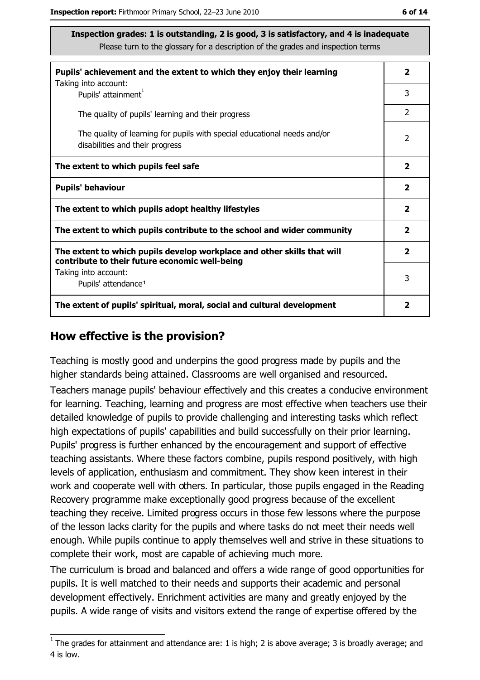| Pupils' achievement and the extent to which they enjoy their learning                                                     |                         |
|---------------------------------------------------------------------------------------------------------------------------|-------------------------|
| Taking into account:<br>Pupils' attainment <sup>1</sup>                                                                   | 3                       |
| The quality of pupils' learning and their progress                                                                        | $\mathcal{P}$           |
| The quality of learning for pupils with special educational needs and/or<br>disabilities and their progress               | $\overline{2}$          |
| The extent to which pupils feel safe                                                                                      |                         |
| <b>Pupils' behaviour</b>                                                                                                  |                         |
| The extent to which pupils adopt healthy lifestyles                                                                       | $\overline{\mathbf{2}}$ |
| The extent to which pupils contribute to the school and wider community                                                   |                         |
| The extent to which pupils develop workplace and other skills that will<br>contribute to their future economic well-being | $\overline{\mathbf{2}}$ |
| Taking into account:<br>Pupils' attendance <sup>1</sup>                                                                   | 3                       |
| The extent of pupils' spiritual, moral, social and cultural development                                                   |                         |

#### How effective is the provision?

Teaching is mostly good and underpins the good progress made by pupils and the higher standards being attained. Classrooms are well organised and resourced.

Teachers manage pupils' behaviour effectively and this creates a conducive environment for learning. Teaching, learning and progress are most effective when teachers use their detailed knowledge of pupils to provide challenging and interesting tasks which reflect high expectations of pupils' capabilities and build successfully on their prior learning. Pupils' progress is further enhanced by the encouragement and support of effective teaching assistants. Where these factors combine, pupils respond positively, with high levels of application, enthusiasm and commitment. They show keen interest in their work and cooperate well with others. In particular, those pupils engaged in the Reading Recovery programme make exceptionally good progress because of the excellent teaching they receive. Limited progress occurs in those few lessons where the purpose of the lesson lacks clarity for the pupils and where tasks do not meet their needs well enough. While pupils continue to apply themselves well and strive in these situations to complete their work, most are capable of achieving much more.

The curriculum is broad and balanced and offers a wide range of good opportunities for pupils. It is well matched to their needs and supports their academic and personal development effectively. Enrichment activities are many and greatly enjoyed by the pupils. A wide range of visits and visitors extend the range of expertise offered by the

 $1$  The arades for attainment and attendance are: 1 is high; 2 is above average; 3 is broadly average; and 4 is low.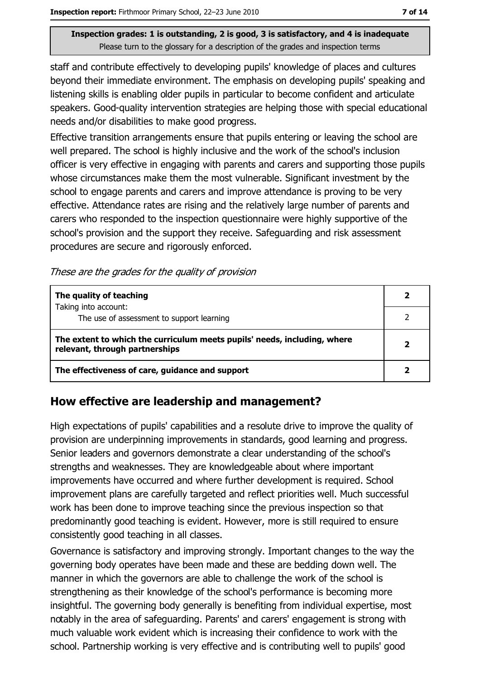staff and contribute effectively to developing pupils' knowledge of places and cultures beyond their immediate environment. The emphasis on developing pupils' speaking and listening skills is enabling older pupils in particular to become confident and articulate speakers. Good-quality intervention strategies are helping those with special educational needs and/or disabilities to make good progress.

Effective transition arrangements ensure that pupils entering or leaving the school are well prepared. The school is highly inclusive and the work of the school's inclusion officer is very effective in engaging with parents and carers and supporting those pupils whose circumstances make them the most vulnerable. Significant investment by the school to engage parents and carers and improve attendance is proving to be very effective. Attendance rates are rising and the relatively large number of parents and carers who responded to the inspection questionnaire were highly supportive of the school's provision and the support they receive. Safeguarding and risk assessment procedures are secure and rigorously enforced.

These are the grades for the quality of provision

| The quality of teaching                                                                                    |  |
|------------------------------------------------------------------------------------------------------------|--|
| Taking into account:<br>The use of assessment to support learning                                          |  |
| The extent to which the curriculum meets pupils' needs, including, where<br>relevant, through partnerships |  |
| The effectiveness of care, guidance and support                                                            |  |

#### How effective are leadership and management?

High expectations of pupils' capabilities and a resolute drive to improve the quality of provision are underpinning improvements in standards, good learning and progress. Senior leaders and governors demonstrate a clear understanding of the school's strengths and weaknesses. They are knowledgeable about where important improvements have occurred and where further development is required. School improvement plans are carefully targeted and reflect priorities well. Much successful work has been done to improve teaching since the previous inspection so that predominantly good teaching is evident. However, more is still required to ensure consistently good teaching in all classes.

Governance is satisfactory and improving strongly. Important changes to the way the governing body operates have been made and these are bedding down well. The manner in which the governors are able to challenge the work of the school is strengthening as their knowledge of the school's performance is becoming more insightful. The governing body generally is benefiting from individual expertise, most notably in the area of safeguarding. Parents' and carers' engagement is strong with much valuable work evident which is increasing their confidence to work with the school. Partnership working is very effective and is contributing well to pupils' good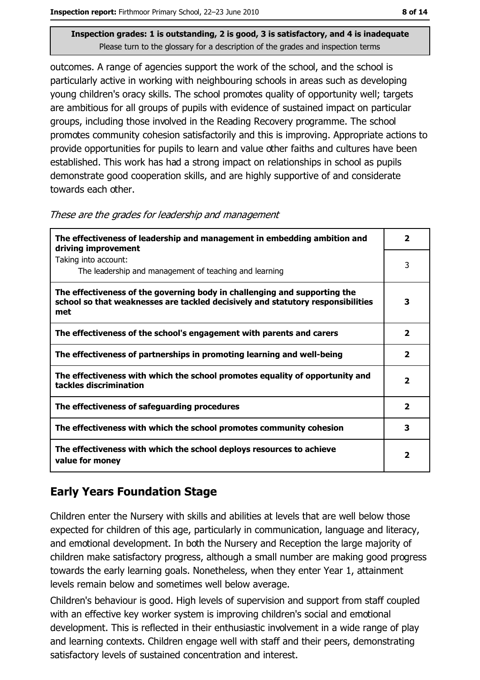outcomes. A range of agencies support the work of the school, and the school is particularly active in working with neighbouring schools in areas such as developing young children's oracy skills. The school promotes quality of opportunity well; targets are ambitious for all groups of pupils with evidence of sustained impact on particular groups, including those involved in the Reading Recovery programme. The school promotes community cohesion satisfactorily and this is improving. Appropriate actions to provide opportunities for pupils to learn and value other faiths and cultures have been established. This work has had a strong impact on relationships in school as pupils demonstrate good cooperation skills, and are highly supportive of and considerate towards each other.

These are the grades for leadership and management

| The effectiveness of leadership and management in embedding ambition and<br>driving improvement                                                                     | 2                       |
|---------------------------------------------------------------------------------------------------------------------------------------------------------------------|-------------------------|
| Taking into account:<br>The leadership and management of teaching and learning                                                                                      | 3                       |
| The effectiveness of the governing body in challenging and supporting the<br>school so that weaknesses are tackled decisively and statutory responsibilities<br>met | 3                       |
| The effectiveness of the school's engagement with parents and carers                                                                                                | $\overline{\mathbf{2}}$ |
| The effectiveness of partnerships in promoting learning and well-being                                                                                              | $\overline{\mathbf{2}}$ |
| The effectiveness with which the school promotes equality of opportunity and<br>tackles discrimination                                                              | 2                       |
| The effectiveness of safeguarding procedures                                                                                                                        | $\overline{\mathbf{2}}$ |
| The effectiveness with which the school promotes community cohesion                                                                                                 | 3                       |
| The effectiveness with which the school deploys resources to achieve<br>value for money                                                                             | 2                       |

## **Early Years Foundation Stage**

Children enter the Nursery with skills and abilities at levels that are well below those expected for children of this age, particularly in communication, language and literacy, and emotional development. In both the Nursery and Reception the large majority of children make satisfactory progress, although a small number are making good progress towards the early learning goals. Nonetheless, when they enter Year 1, attainment levels remain below and sometimes well below average.

Children's behaviour is good. High levels of supervision and support from staff coupled with an effective key worker system is improving children's social and emotional development. This is reflected in their enthusiastic involvement in a wide range of play and learning contexts. Children engage well with staff and their peers, demonstrating satisfactory levels of sustained concentration and interest.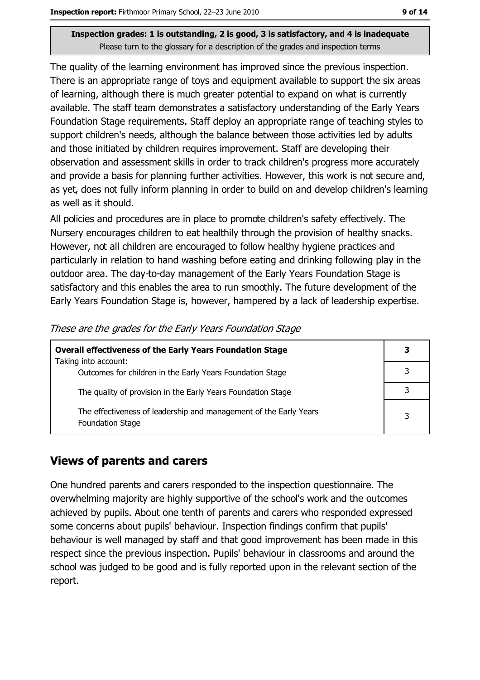The quality of the learning environment has improved since the previous inspection. There is an appropriate range of toys and equipment available to support the six areas of learning, although there is much greater potential to expand on what is currently available. The staff team demonstrates a satisfactory understanding of the Early Years Foundation Stage requirements. Staff deploy an appropriate range of teaching styles to support children's needs, although the balance between those activities led by adults and those initiated by children requires improvement. Staff are developing their observation and assessment skills in order to track children's progress more accurately and provide a basis for planning further activities. However, this work is not secure and, as yet, does not fully inform planning in order to build on and develop children's learning as well as it should.

All policies and procedures are in place to promote children's safety effectively. The Nursery encourages children to eat healthily through the provision of healthy snacks. However, not all children are encouraged to follow healthy hygiene practices and particularly in relation to hand washing before eating and drinking following play in the outdoor area. The day-to-day management of the Early Years Foundation Stage is satisfactory and this enables the area to run smoothly. The future development of the Early Years Foundation Stage is, however, hampered by a lack of leadership expertise.

| <b>Overall effectiveness of the Early Years Foundation Stage</b>                             |   |
|----------------------------------------------------------------------------------------------|---|
| Taking into account:<br>Outcomes for children in the Early Years Foundation Stage            | 3 |
| The quality of provision in the Early Years Foundation Stage                                 |   |
| The effectiveness of leadership and management of the Early Years<br><b>Foundation Stage</b> | 3 |

These are the grades for the Early Years Foundation Stage

#### **Views of parents and carers**

One hundred parents and carers responded to the inspection questionnaire. The overwhelming majority are highly supportive of the school's work and the outcomes achieved by pupils. About one tenth of parents and carers who responded expressed some concerns about pupils' behaviour. Inspection findings confirm that pupils' behaviour is well managed by staff and that good improvement has been made in this respect since the previous inspection. Pupils' behaviour in classrooms and around the school was judged to be good and is fully reported upon in the relevant section of the report.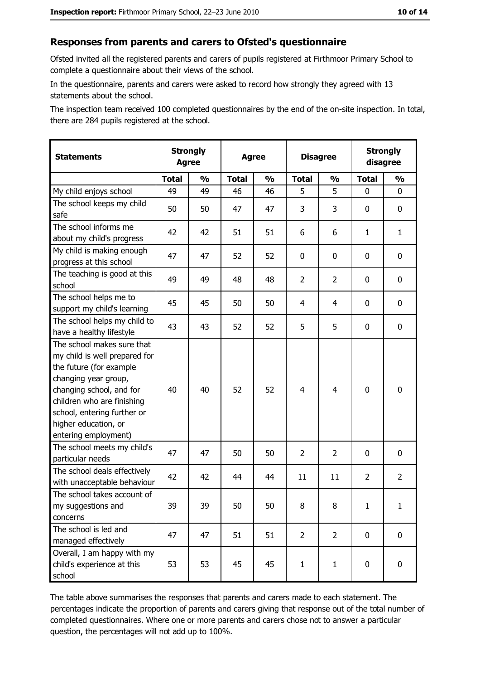#### Responses from parents and carers to Ofsted's questionnaire

Ofsted invited all the registered parents and carers of pupils registered at Firthmoor Primary School to complete a questionnaire about their views of the school.

In the questionnaire, parents and carers were asked to record how strongly they agreed with 13 statements about the school.

The inspection team received 100 completed questionnaires by the end of the on-site inspection. In total, there are 284 pupils registered at the school.

| <b>Statements</b>                                                                                                                                                                                                                                       | <b>Strongly</b><br><b>Agree</b> |               | <b>Agree</b> |               | <b>Disagree</b> |                | <b>Strongly</b><br>disagree |                |
|---------------------------------------------------------------------------------------------------------------------------------------------------------------------------------------------------------------------------------------------------------|---------------------------------|---------------|--------------|---------------|-----------------|----------------|-----------------------------|----------------|
|                                                                                                                                                                                                                                                         | <b>Total</b>                    | $\frac{0}{0}$ | <b>Total</b> | $\frac{0}{0}$ | <b>Total</b>    | $\frac{0}{0}$  | <b>Total</b>                | $\frac{1}{2}$  |
| My child enjoys school                                                                                                                                                                                                                                  | 49                              | 49            | 46           | 46            | 5               | 5              | 0                           | $\mathbf 0$    |
| The school keeps my child<br>safe                                                                                                                                                                                                                       | 50                              | 50            | 47           | 47            | 3               | 3              | 0                           | 0              |
| The school informs me<br>about my child's progress                                                                                                                                                                                                      | 42                              | 42            | 51           | 51            | 6               | 6              | 1                           | $\mathbf{1}$   |
| My child is making enough<br>progress at this school                                                                                                                                                                                                    | 47                              | 47            | 52           | 52            | 0               | 0              | 0                           | 0              |
| The teaching is good at this<br>school                                                                                                                                                                                                                  | 49                              | 49            | 48           | 48            | $\overline{2}$  | $\overline{2}$ | 0                           | $\mathbf 0$    |
| The school helps me to<br>support my child's learning                                                                                                                                                                                                   | 45                              | 45            | 50           | 50            | $\overline{4}$  | 4              | 0                           | 0              |
| The school helps my child to<br>have a healthy lifestyle                                                                                                                                                                                                | 43                              | 43            | 52           | 52            | 5               | 5              | 0                           | 0              |
| The school makes sure that<br>my child is well prepared for<br>the future (for example<br>changing year group,<br>changing school, and for<br>children who are finishing<br>school, entering further or<br>higher education, or<br>entering employment) | 40                              | 40            | 52           | 52            | $\overline{4}$  | 4              | $\mathbf 0$                 | $\mathbf 0$    |
| The school meets my child's<br>particular needs                                                                                                                                                                                                         | 47                              | 47            | 50           | 50            | $\overline{2}$  | $\overline{2}$ | 0                           | $\mathbf 0$    |
| The school deals effectively<br>with unacceptable behaviour                                                                                                                                                                                             | 42                              | 42            | 44           | 44            | 11              | 11             | $\overline{2}$              | $\overline{2}$ |
| The school takes account of<br>my suggestions and<br>concerns                                                                                                                                                                                           | 39                              | 39            | 50           | 50            | 8               | 8              | $\mathbf{1}$                | $\mathbf{1}$   |
| The school is led and<br>managed effectively                                                                                                                                                                                                            | 47                              | 47            | 51           | 51            | $\overline{2}$  | $\overline{2}$ | $\bf{0}$                    | $\mathbf 0$    |
| Overall, I am happy with my<br>child's experience at this<br>school                                                                                                                                                                                     | 53                              | 53            | 45           | 45            | $\mathbf{1}$    | $\mathbf{1}$   | $\mathbf 0$                 | $\mathbf 0$    |

The table above summarises the responses that parents and carers made to each statement. The percentages indicate the proportion of parents and carers giving that response out of the total number of completed questionnaires. Where one or more parents and carers chose not to answer a particular question, the percentages will not add up to 100%.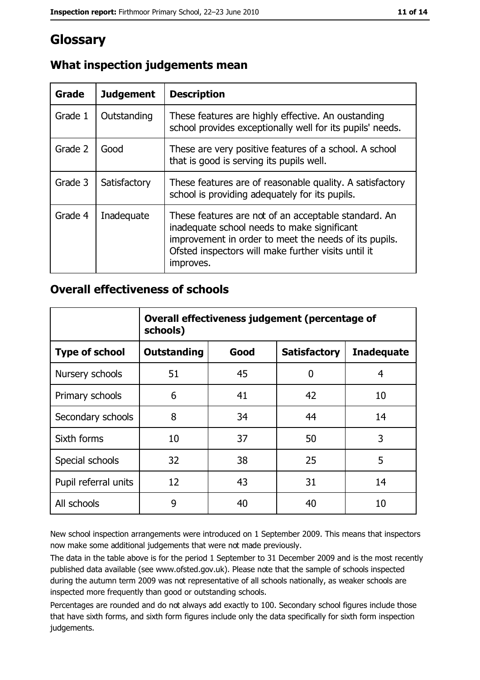## Glossary

| Grade   | <b>Judgement</b> | <b>Description</b>                                                                                                                                                                                                               |
|---------|------------------|----------------------------------------------------------------------------------------------------------------------------------------------------------------------------------------------------------------------------------|
| Grade 1 | Outstanding      | These features are highly effective. An oustanding<br>school provides exceptionally well for its pupils' needs.                                                                                                                  |
| Grade 2 | Good             | These are very positive features of a school. A school<br>that is good is serving its pupils well.                                                                                                                               |
| Grade 3 | Satisfactory     | These features are of reasonable quality. A satisfactory<br>school is providing adequately for its pupils.                                                                                                                       |
| Grade 4 | Inadequate       | These features are not of an acceptable standard. An<br>inadequate school needs to make significant<br>improvement in order to meet the needs of its pupils.<br>Ofsted inspectors will make further visits until it<br>improves. |

### What inspection judgements mean

#### **Overall effectiveness of schools**

|                       | Overall effectiveness judgement (percentage of<br>schools) |      |                     |                   |
|-----------------------|------------------------------------------------------------|------|---------------------|-------------------|
| <b>Type of school</b> | <b>Outstanding</b>                                         | Good | <b>Satisfactory</b> | <b>Inadequate</b> |
| Nursery schools       | 51                                                         | 45   | 0                   | 4                 |
| Primary schools       | 6                                                          | 41   | 42                  | 10                |
| Secondary schools     | 8                                                          | 34   | 44                  | 14                |
| Sixth forms           | 10                                                         | 37   | 50                  | 3                 |
| Special schools       | 32                                                         | 38   | 25                  | 5                 |
| Pupil referral units  | 12                                                         | 43   | 31                  | 14                |
| All schools           | 9                                                          | 40   | 40                  | 10                |

New school inspection arrangements were introduced on 1 September 2009. This means that inspectors now make some additional judgements that were not made previously.

The data in the table above is for the period 1 September to 31 December 2009 and is the most recently published data available (see www.ofsted.gov.uk). Please note that the sample of schools inspected during the autumn term 2009 was not representative of all schools nationally, as weaker schools are inspected more frequently than good or outstanding schools.

Percentages are rounded and do not always add exactly to 100. Secondary school figures include those that have sixth forms, and sixth form figures include only the data specifically for sixth form inspection judgements.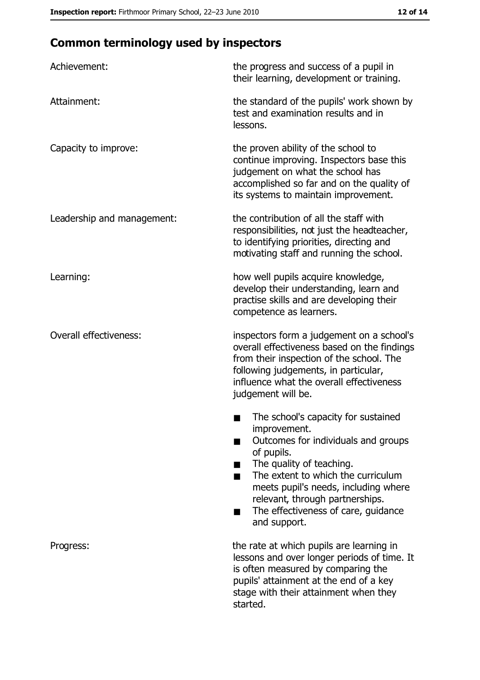# **Common terminology used by inspectors**

| Achievement:                  | the progress and success of a pupil in<br>their learning, development or training.                                                                                                                                                                                                                           |
|-------------------------------|--------------------------------------------------------------------------------------------------------------------------------------------------------------------------------------------------------------------------------------------------------------------------------------------------------------|
| Attainment:                   | the standard of the pupils' work shown by<br>test and examination results and in<br>lessons.                                                                                                                                                                                                                 |
| Capacity to improve:          | the proven ability of the school to<br>continue improving. Inspectors base this<br>judgement on what the school has<br>accomplished so far and on the quality of<br>its systems to maintain improvement.                                                                                                     |
| Leadership and management:    | the contribution of all the staff with<br>responsibilities, not just the headteacher,<br>to identifying priorities, directing and<br>motivating staff and running the school.                                                                                                                                |
| Learning:                     | how well pupils acquire knowledge,<br>develop their understanding, learn and<br>practise skills and are developing their<br>competence as learners.                                                                                                                                                          |
| <b>Overall effectiveness:</b> | inspectors form a judgement on a school's<br>overall effectiveness based on the findings<br>from their inspection of the school. The<br>following judgements, in particular,<br>influence what the overall effectiveness<br>judgement will be.                                                               |
|                               | The school's capacity for sustained<br>improvement.<br>Outcomes for individuals and groups<br>of pupils.<br>The quality of teaching.<br>The extent to which the curriculum<br>meets pupil's needs, including where<br>relevant, through partnerships.<br>The effectiveness of care, guidance<br>and support. |
| Progress:                     | the rate at which pupils are learning in<br>lessons and over longer periods of time. It<br>is often measured by comparing the<br>pupils' attainment at the end of a key<br>stage with their attainment when they<br>started.                                                                                 |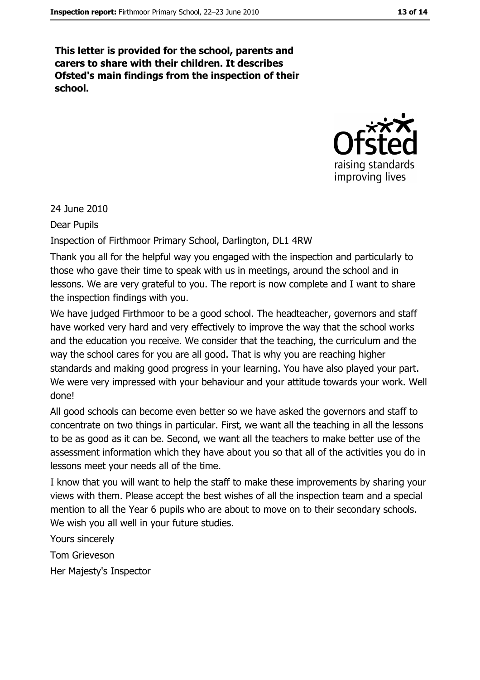This letter is provided for the school, parents and carers to share with their children. It describes Ofsted's main findings from the inspection of their school.



24 June 2010

**Dear Pupils** 

Inspection of Firthmoor Primary School, Darlington, DL1 4RW

Thank you all for the helpful way you engaged with the inspection and particularly to those who gave their time to speak with us in meetings, around the school and in lessons. We are very grateful to you. The report is now complete and I want to share the inspection findings with you.

We have judged Firthmoor to be a good school. The headteacher, governors and staff have worked very hard and very effectively to improve the way that the school works and the education you receive. We consider that the teaching, the curriculum and the way the school cares for you are all good. That is why you are reaching higher standards and making good progress in your learning. You have also played your part. We were very impressed with your behaviour and your attitude towards your work. Well done!

All good schools can become even better so we have asked the governors and staff to concentrate on two things in particular. First, we want all the teaching in all the lessons to be as good as it can be. Second, we want all the teachers to make better use of the assessment information which they have about you so that all of the activities you do in lessons meet your needs all of the time.

I know that you will want to help the staff to make these improvements by sharing your views with them. Please accept the best wishes of all the inspection team and a special mention to all the Year 6 pupils who are about to move on to their secondary schools. We wish you all well in your future studies.

Yours sincerely

**Tom Grieveson** 

Her Majesty's Inspector